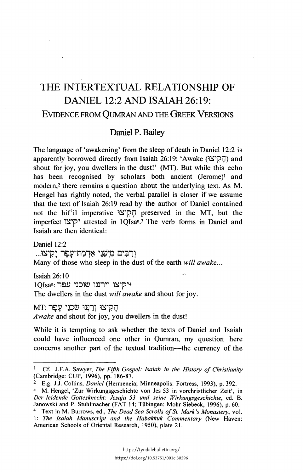# THE INTERTEXTUAL RELATIONSHIP OF DANIEL 12:2 AND ISAIAH 26:19:

## EVIDENCE FROM OUMRAN AND THE GREEK VERSIONS

### Daniel P. Bailey

The language of 'awakening' from the sleep of death in Daniel 12:2 is apparently borrowed directly from Isaiah 26:19: 'Awake (הקיצו shout for joy, you dwellers in the dust!' (MT). But while this echo has been recognised by scholars both ancient (Jerome)<sup>1</sup> and modem,2 there remains a question about the underlying text. As M. Hengel has rightly noted, the verbal parallel is closer if we assume that the text of Isaiah 26:19 read by the author of Daniel contained not the hif'il imperative 1~~Pv preserved in the MT, but the imperfect 'קיצו' attested in 1QIsa<sup>a</sup>.<sup>3</sup> The verb forms in Daniel and Isaiah are then identical:

Daniel 12:2 וִרְבִים מִיִּשְׁנֵי אַדִמַת־עָפָר יָקִיצוּ... Many of those who sleep in the dust of the earth *will awake ...* 

Isaiah  $26:10$  $1$ וקיצו וירננו שוכני עפר  $^{12}$ וקיצו ו The dwellers in the dust *will awake* and shout for joy.

הַקִיצוּ וְרַנְּנוּ שׁׁכְנֵי עָפָר *Awake* and shout for joy, you dwellers in the dust!

While it is tempting to ask whether the texts of Daniel and Isaiah could have influenced one other in Qumran, my question here concerns another part of the textual tradition-the currency of the

<sup>&</sup>lt;sup>1</sup> Cf. J.F.A. Sawyer, *The Fifth Gospel: Isaiah in the History of Christianity* (Cambridge: CUP, 1996), pp. 186-87.

<sup>2</sup> E.g. J.J. Collins, *Daniel* (Hermeneia; Minneapolis: Fortress, 1993), p. 392.

<sup>3</sup> M. Hengel, 'Zur Wirkungsgeschichte von Jes 53 in vorchristlicher Zeit', in *Der leidende Gottesknecht: Jesaja 53 und seine Wirkungsgeschichte,* ed. B. Janowski and P. Stuhlmacher (FAT 14; Tübingen: Mohr Siebeck, 1996), p. 60.

<sup>4</sup> Text in M. Burrows, ed., *The Dead Sea Scrolls of St. Mark's Monastery,* vol. I: *The Isaiah Manuscript and the Habakkuk Commentary* (New Haven: American Schools of Oriental Research, 1950), plate 21.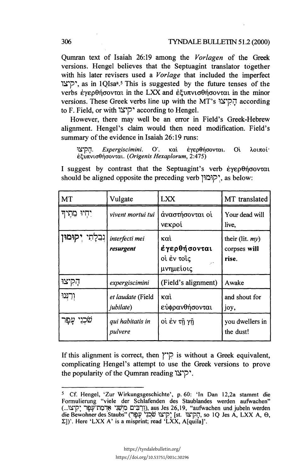#### 306 TYNDALE BULLETIN 51.2 (2000)

Qumran text of Isaiah 26:19 among the *Vorlagen* of the Greek versions. Hengel believes that the Septuagint translator together with his later revisers used a *Vorlage* that included the imperfect 1~'P\ as in lQisa3 •5 This is suggested by the future tenses of the verbs  $\dot{\epsilon}$ γερθήσονται in the LXX and  $\dot{\epsilon}$ ζυπνισθήσονται in the minor versions. These Greek verbs line up with the MT's הקיצו according to F. Field, or with 'קיצו' according to Hengel.

However, there may well be an error in Field's Greek-Hebrew alignment. Hengel's claim would then need modification. Field's summary of the evidence in Isaiah 26:19 runs:

i~"piJ. *Expergiscimini.* 0'. xai eyepEhjcrov-cat. Oi. A.ot1toi· εξυπνισθήσονται. *(Origenis Hexaplorum*, 2:475)

I suggest by contrast that the Septuagint's verb έγερθήσονται should be aligned opposite the preceding verb  $\Gamma$ קוּמוּן  $\Gamma$ , as below:

| MT                                   | Vulgate                                | LXX                                                           | MT translated                               |
|--------------------------------------|----------------------------------------|---------------------------------------------------------------|---------------------------------------------|
| יחיו מתיד                            | vivent mortui tui                      | αναστήσονται οί<br>νεκροί                                     | Your dead will<br>live.                     |
| וְבִלְתִי יְקוּמוּן   interfecti mei | resurgent                              | καὶ<br>έγερθήσονται<br>οί έν τοις<br>$\lambda^*$<br>μνημείοις | their (lit. $my$ )<br>corpses will<br>rise. |
| הָקִיצוּ                             | expergiscimini                         | (Field's alignment)                                           | Awake                                       |
| ורננו                                | et laudate (Field<br><i>jubilate</i> ) | καὶ<br>εύφρανθήσονται                                         | and shout for<br>joy,                       |
| שכְנֵי עָפָר                         | qui habitatis in<br>pulvere            | οί έν τῆ γῆ                                                   | you dwellers in<br>the dust!                |

If this alignment is correct, then  $\gamma$  is without a Greek equivalent, complicating Hengel's attempt to use the Greek versions to prove the popularity of the Qumran reading 1~'P'.

<sup>5</sup> Cf. Hengel, 'Zur Wirkungsgeschichte', p. 60: 'In Dan 12,2a stammt die Formulierung "viele der Schlafenden des Staublandes werden aufwachen" (וְרַבִּים מִיְשֵׁי אַדְמַת־עָפְר יָקִיצוּ...), aus Jes 26,19, "aufwachen und jubeln werden die Bewohner des Staubs" (קִיצוּ שִׁכְנֵי עָפָר) [st. יָהְקִיצוּ, so 1Q Jes A, LXX A, Θ,  $\Sigma$ ])'. Here 'LXX A' is a misprint; read 'LXX, A[quila]'.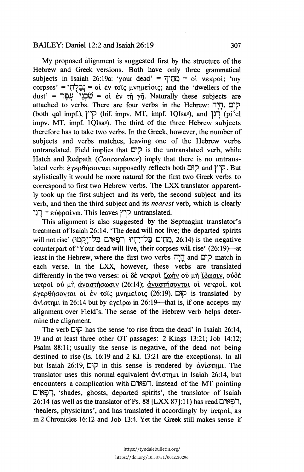#### BAILEY: Daniel  $12:2$  and Isaiah  $26:19$  307

My proposed alignment is suggested first by the structure of the Hebrew and Greek versions. Both have only three grammatical subjects in Isaiah 26:19a: 'your dead' = מְחֵיךְ = oi vekpoi; 'my corpses' = ' $t = \text{tr}$  = oi ev  $\tau$ oic uvnuetoic; and the 'dwellers of the dust' =  $\psi$ ישׂ $\psi$  = oi ev  $\tau$  $\eta$ . Naturally these subjects are attached to verbs. There are four verbs in the Hebrew: קוּם, חִיה (both qal impf.),  $\gamma \in \mathbb{R}$  (hif. impv. MT, impf. 1QIsaa), and  $\gamma$  (pi el impv. MT, impf. 1OIsa<sup>a</sup>). The third of the three Hebrew subjects therefore has to take two verbs. In the Greek, however, the number of subjects and verbs matches, leaving one of the Hebrew verbs untranslated. Field implies that  $\Box \overline{\triangleright}$  is the untranslated verb, while Hatch and Redpath *(Concordance)* imply that there is no untranslated verb: έγερθήσονται supposedly reflects both ΔP and ['γ' P. But stylistically it would be more natural for the first two Greek verbs to correspond to first two Hebrew verbs. The LXX translator apparently took up the first subject and its verb, the second subject and its verb, and then the third subject and its *nearest* verb, which is clearly  $[1] = ε\psi\phi\rho\alpha\psi\omega$ . This leaves  $[7]$  untranslated.

This alignment is also suggested by the Septuagint translator's treatment of Isaiah 26:14. 'The dead will not live; the departed spirits will not rise' (בְּתִּים בְּל־יָחְיוּ רִפָּאִים בַּל־יָקְמוּ) (or rise' (בּוֹנָ counterpart of 'Your dead will live, their corpses will rise'  $(26:19)$ —at least in the Hebrew, where the first two verbs  $\overline{1}\cdot\overline{1}\cdot\overline{1}$  and  $\overline{1}\cdot\overline{1}\cdot\overline{1}$  match in each verse. In the LXX, however, these verbs are translated differently in the two verses: οι δε νεκροι ζωήν ου μη ίδωσιν, ουδε iατροί ού μή αναστήσωσιν (26:14); αναστήσονται οί νεκροί, καί  $\dot{\epsilon}$ γερθήσονται οι εν τοις μνημείοις (26:19).  $\Box \overline{\phi}$  is translated by  $\dot{\alpha}$ viornut in 26:14 but by  $\dot{\epsilon}$  ve $\dot{\alpha}$  in 26:19—that is, if one accepts my alignment over Field's. The sense of the Hebrew verb helps determine the alignment.

The verb  $\Box \Box \Box$  has the sense 'to rise from the dead' in Isaiah 26:14, 19 and at least three other OT passages: 2 Kings 13:21; Job 14:12; Psalm 88:11; usually the sense is negative, of the dead not being destined to rise (Is. 16:19 and 2 Ki. 13:21 are the exceptions). In all but Isaiah 26:19, c:ne is sense is rendered by aviornul. The translator uses this normal equivalent  $\dot{\alpha}$  viornut in Isaiah 26:14, but encounters a complication with  $\Box$ רפאים. Instead of the MT pointing l:l'~~'"'), 'shades, ghosts, departed spirits', the translator of Isaiah  $26:14$  (as well as the translator of Ps. 88 [LXX 87]:11) has read  $\Box$ ראים. 'healers, physicians', and has translated it accordingly by  $i\alpha\tau$  poi, as in 2 Chronicles 16:12 and Job 13:4. Yet the Greek still makes sense if